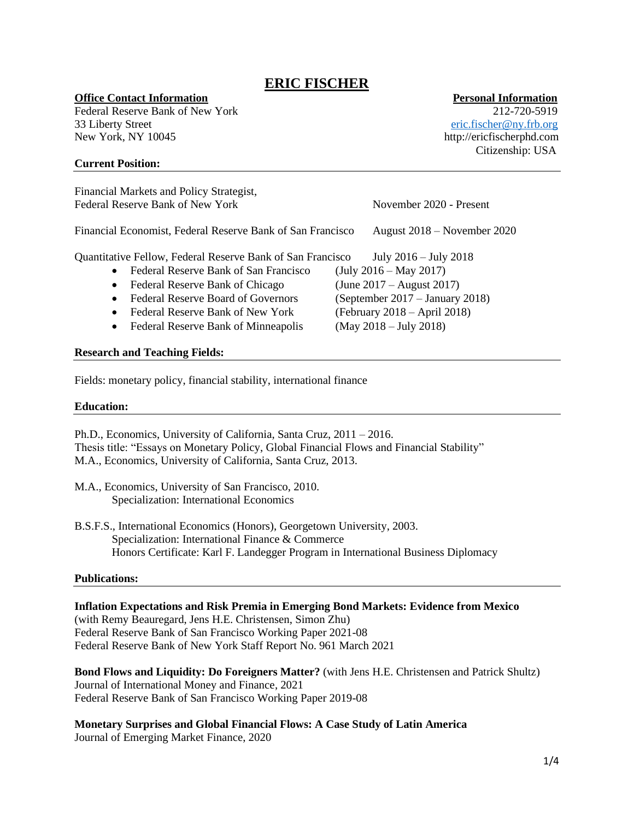# **ERIC FISCHER**

# **Office Contact Information** *Personal Information*

Federal Reserve Bank of New York 212-720-5919 33 Liberty Street [eric.fischer@ny.frb.org](mailto:eric.fischer@ny.frb.org) New York, NY 10045 http://ericfischerphd.com

# **Current Position:**

Financial Markets and Policy Strategist, Federal Reserve Bank of New York November 2020 - Present Financial Economist, Federal Reserve Bank of San Francisco August 2018 – November 2020 Quantitative Fellow, Federal Reserve Bank of San Francisco July 2016 – July 2018 • Federal Reserve Bank of San Francisco (July 2016 – May 2017) • Federal Reserve Bank of Chicago (June 2017 – August 2017) • Federal Reserve Board of Governors (September 2017 – January 2018) • Federal Reserve Bank of New York (February 2018 – April 2018) • Federal Reserve Bank of Minneapolis (May 2018 – July 2018)

# **Research and Teaching Fields:**

Fields: monetary policy, financial stability, international finance

# **Education:**

Ph.D., Economics, University of California, Santa Cruz, 2011 – 2016. Thesis title: "Essays on Monetary Policy, Global Financial Flows and Financial Stability" M.A., Economics, University of California, Santa Cruz, 2013.

B.S.F.S., International Economics (Honors), Georgetown University, 2003. Specialization: International Finance & Commerce Honors Certificate: Karl F. Landegger Program in International Business Diplomacy

### **Publications:**

**Inflation Expectations and Risk Premia in Emerging Bond Markets: Evidence from Mexico**  (with Remy Beauregard, Jens H.E. Christensen, Simon Zhu) Federal Reserve Bank of San Francisco Working Paper 2021-08 Federal Reserve Bank of New York Staff Report No. 961 March 2021

**Bond Flows and Liquidity: Do Foreigners Matter?** (with Jens H.E. Christensen and Patrick Shultz) Journal of International Money and Finance, 2021 Federal Reserve Bank of San Francisco Working Paper 2019-08

**Monetary Surprises and Global Financial Flows: A Case Study of Latin America** Journal of Emerging Market Finance, 2020

Citizenship: USA

M.A., Economics, University of San Francisco, 2010. Specialization: International Economics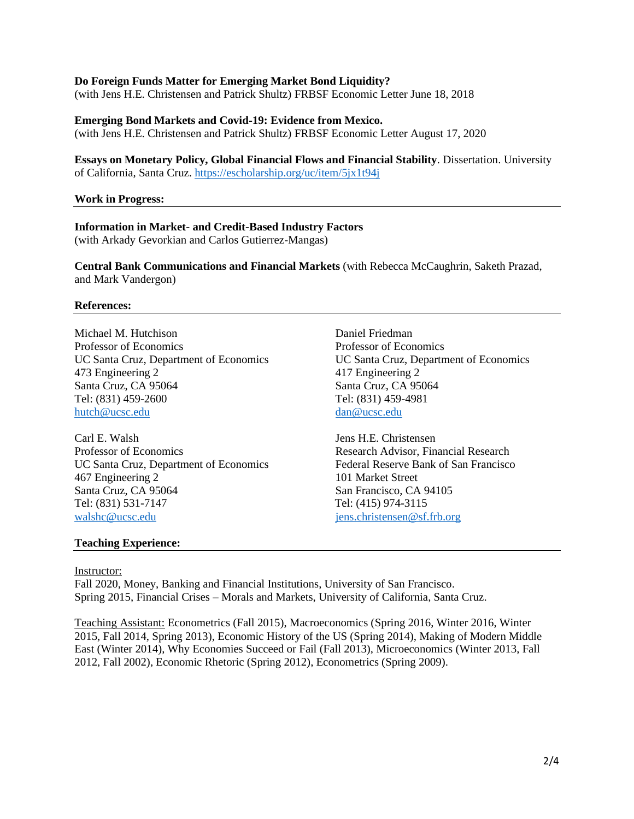# **Do Foreign Funds Matter for Emerging Market Bond Liquidity?**

(with Jens H.E. Christensen and Patrick Shultz) FRBSF Economic Letter June 18, 2018

#### **Emerging Bond Markets and Covid-19: Evidence from Mexico.**

(with Jens H.E. Christensen and Patrick Shultz) FRBSF Economic Letter August 17, 2020

### **Essays on Monetary Policy, Global Financial Flows and Financial Stability**. Dissertation. University of California, Santa Cruz.<https://escholarship.org/uc/item/5jx1t94j>

#### **Work in Progress:**

# **Information in Market- and Credit-Based Industry Factors**

(with Arkady Gevorkian and Carlos Gutierrez-Mangas)

**Central Bank Communications and Financial Markets** (with Rebecca McCaughrin, Saketh Prazad, and Mark Vandergon)

#### **References:**

Michael M. Hutchison Daniel Friedman Professor of Economics Professor of Economics UC Santa Cruz, Department of Economics UC Santa Cruz, Department of Economics 473 Engineering 2 417 Engineering 2 Santa Cruz, CA 95064 Santa Cruz, CA 95064 Tel: (831) 459-2600 Tel: (831) 459-4981 [hutch@ucsc.edu](mailto:hutch@ucsc.edu) [dan@ucsc.edu](mailto:dan@ucsc.edu) dan@ucsc.edu

Carl E. Walsh Jens H.E. Christensen Professor of Economics **Research Advisor, Financial Research** Advisor, Financial Research UC Santa Cruz, Department of Economics Federal Reserve Bank of San Francisco 467 Engineering 2 101 Market Street Santa Cruz, CA 95064 San Francisco, CA 94105 Tel: (831) 531-7147 Tel: (415) 974-3115 [walshc@ucsc.edu](mailto:walshc@ucsc.edu) [jens.christensen@sf.frb.org](mailto:jens.christensen@sf.frb.org)

#### **Teaching Experience:**

#### Instructor:

Fall 2020, Money, Banking and Financial Institutions, University of San Francisco. Spring 2015, Financial Crises – Morals and Markets, University of California, Santa Cruz.

Teaching Assistant: Econometrics (Fall 2015), Macroeconomics (Spring 2016, Winter 2016, Winter 2015, Fall 2014, Spring 2013), Economic History of the US (Spring 2014), Making of Modern Middle East (Winter 2014), Why Economies Succeed or Fail (Fall 2013), Microeconomics (Winter 2013, Fall 2012, Fall 2002), Economic Rhetoric (Spring 2012), Econometrics (Spring 2009).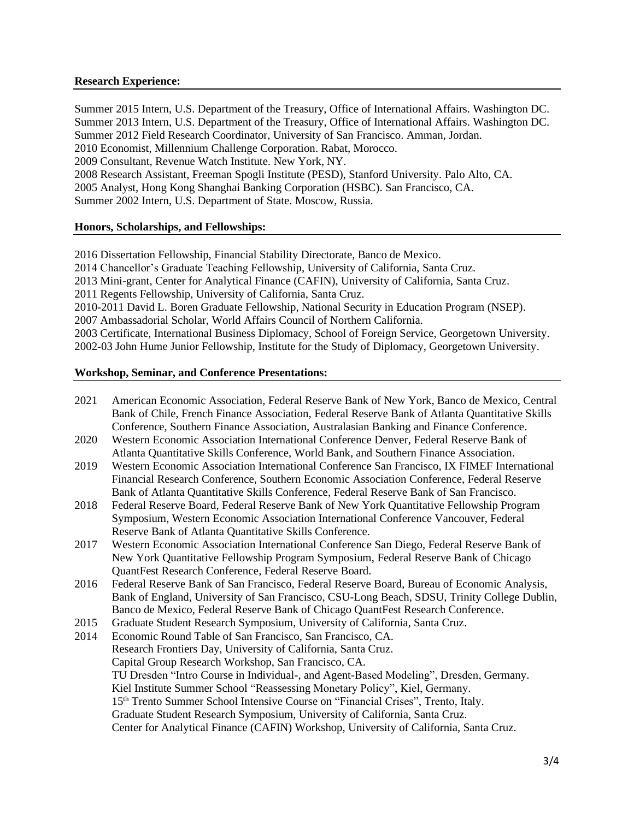# **Research Experience:**

Summer 2015 Intern, U.S. Department of the Treasury, Office of International Affairs. Washington DC. Summer 2013 Intern, U.S. Department of the Treasury, Office of International Affairs. Washington DC. Summer 2012 Field Research Coordinator, University of San Francisco. Amman, Jordan. 2010 Economist, Millennium Challenge Corporation. Rabat, Morocco. 2009 Consultant, Revenue Watch Institute. New York, NY. 2008 Research Assistant, Freeman Spogli Institute (PESD), Stanford University. Palo Alto, CA. 2005 Analyst, Hong Kong Shanghai Banking Corporation (HSBC). San Francisco, CA. Summer 2002 Intern, U.S. Department of State. Moscow, Russia.

# **Honors, Scholarships, and Fellowships:**

2016 Dissertation Fellowship, Financial Stability Directorate, Banco de Mexico. 2014 Chancellor's Graduate Teaching Fellowship, University of California, Santa Cruz. 2013 Mini-grant, Center for Analytical Finance (CAFIN), University of California, Santa Cruz. 2011 Regents Fellowship, University of California, Santa Cruz. 2010-2011 David L. Boren Graduate Fellowship, National Security in Education Program (NSEP). 2007 Ambassadorial Scholar, World Affairs Council of Northern California. 2003 Certificate, International Business Diplomacy, School of Foreign Service, Georgetown University. 2002-03 John Hume Junior Fellowship, Institute for the Study of Diplomacy, Georgetown University.

# **Workshop, Seminar, and Conference Presentations:**

- 2021 American Economic Association, Federal Reserve Bank of New York, Banco de Mexico, Central Bank of Chile, French Finance Association, Federal Reserve Bank of Atlanta Quantitative Skills Conference, Southern Finance Association, Australasian Banking and Finance Conference.
- 2020 Western Economic Association International Conference Denver, Federal Reserve Bank of Atlanta Quantitative Skills Conference, World Bank, and Southern Finance Association.
- 2019 Western Economic Association International Conference San Francisco, IX FIMEF International Financial Research Conference, Southern Economic Association Conference, Federal Reserve Bank of Atlanta Quantitative Skills Conference, Federal Reserve Bank of San Francisco.
- 2018 Federal Reserve Board, Federal Reserve Bank of New York Quantitative Fellowship Program Symposium, Western Economic Association International Conference Vancouver, Federal Reserve Bank of Atlanta Quantitative Skills Conference.
- 2017 Western Economic Association International Conference San Diego, Federal Reserve Bank of New York Quantitative Fellowship Program Symposium, Federal Reserve Bank of Chicago QuantFest Research Conference, Federal Reserve Board.
- 2016 Federal Reserve Bank of San Francisco, Federal Reserve Board, Bureau of Economic Analysis, Bank of England, University of San Francisco, CSU-Long Beach, SDSU, Trinity College Dublin, Banco de Mexico, Federal Reserve Bank of Chicago QuantFest Research Conference.
- 2015 Graduate Student Research Symposium, University of California, Santa Cruz.
- 2014 Economic Round Table of San Francisco, San Francisco, CA. Research Frontiers Day, University of California, Santa Cruz. Capital Group Research Workshop, San Francisco, CA. TU Dresden "Intro Course in Individual-, and Agent-Based Modeling", Dresden, Germany. Kiel Institute Summer School "Reassessing Monetary Policy", Kiel, Germany. 15th Trento Summer School Intensive Course on "Financial Crises", Trento, Italy. Graduate Student Research Symposium, University of California, Santa Cruz. Center for Analytical Finance (CAFIN) Workshop, University of California, Santa Cruz.